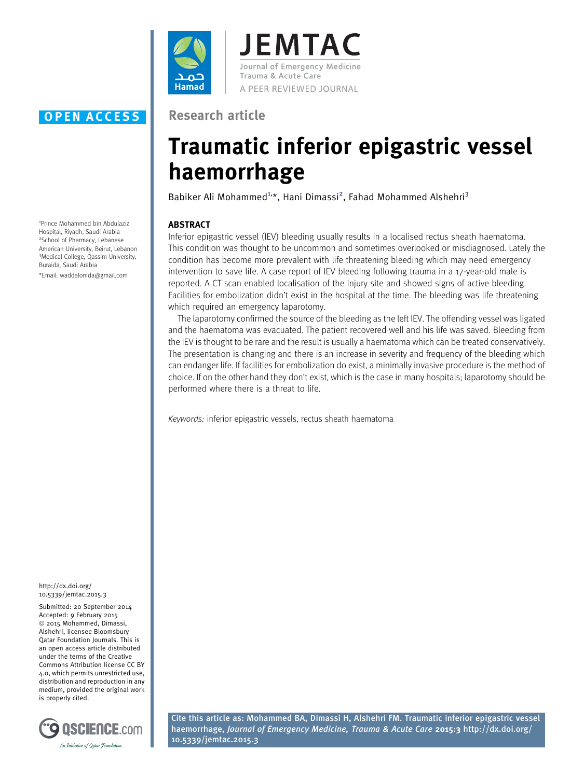



## **OPEN ACCESS** Research article

1 Prince Mohammed bin Abdulaziz Hospital, Riyadh, Saudi Arabia 2 School of Pharmacy, Lebanese American University, Beirut, Lebanon <sup>3</sup>Medical College, Qassim University, Buraida, Saudi Arabia

\*Email: waddalomda@gmail.com

#### http://dx.doi.org/ 10.5339/jemtac.2015.3

Submitted: 20 September 2014 Accepted: 9 February 2015 ª 2015 Mohammed, Dimassi, Alshehri, licensee Bloomsbury Qatar Foundation Journals. This is an open access article distributed under the terms of the Creative Commons Attribution license CC BY 4.0, which permits unrestricted use, distribution and reproduction in any medium, provided the original work is properly cited.



# Traumatic inferior epigastric vessel haemorrhage

Babiker Ali Mohammed<sup>1,\*</sup>, Hani Dimassi<sup>2</sup>, Fahad Mohammed Alshehri<sup>3</sup>

### ABSTRACT

Inferior epigastric vessel (IEV) bleeding usually results in a localised rectus sheath haematoma. This condition was thought to be uncommon and sometimes overlooked or misdiagnosed. Lately the condition has become more prevalent with life threatening bleeding which may need emergency intervention to save life. A case report of IEV bleeding following trauma in a 17-year-old male is reported. A CT scan enabled localisation of the injury site and showed signs of active bleeding. Facilities for embolization didn't exist in the hospital at the time. The bleeding was life threatening which required an emergency laparotomy.

The laparotomy confirmed the source of the bleeding as the left IEV. The offending vessel was ligated and the haematoma was evacuated. The patient recovered well and his life was saved. Bleeding from the IEV is thought to be rare and the result is usually a haematoma which can be treated conservatively. The presentation is changing and there is an increase in severity and frequency of the bleeding which can endanger life. If facilities for embolization do exist, a minimally invasive procedure is the method of choice. If on the other hand they don't exist, which is the case in many hospitals; laparotomy should be performed where there is a threat to life.

Keywords: inferior epigastric vessels, rectus sheath haematoma

Cite this article as: Mohammed BA, Dimassi H, Alshehri FM. Traumatic inferior epigastric vessel haemorrhage, Journal of Emergency Medicine, Trauma & Acute Care 2015:3 http://dx.doi.org/ 10.5339/jemtac.2015.3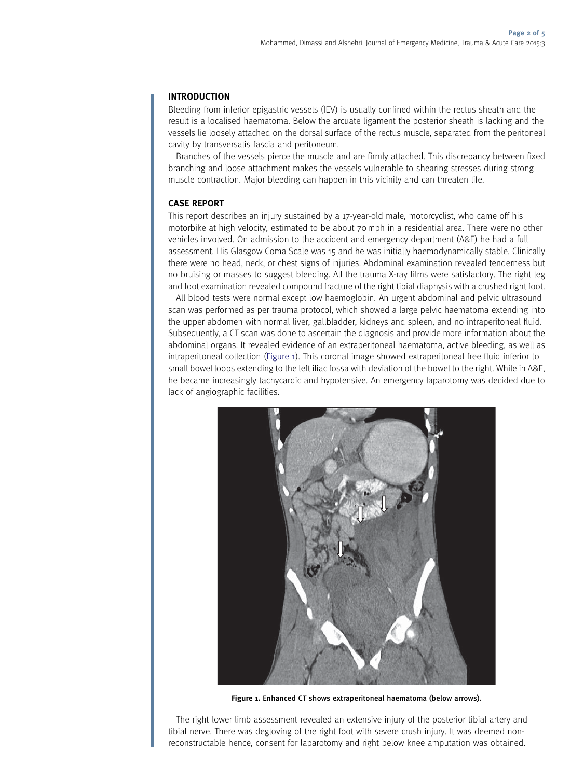#### INTRODUCTION

Bleeding from inferior epigastric vessels (IEV) is usually confined within the rectus sheath and the result is a localised haematoma. Below the arcuate ligament the posterior sheath is lacking and the vessels lie loosely attached on the dorsal surface of the rectus muscle, separated from the peritoneal cavity by transversalis fascia and peritoneum.

Branches of the vessels pierce the muscle and are firmly attached. This discrepancy between fixed branching and loose attachment makes the vessels vulnerable to shearing stresses during strong muscle contraction. Major bleeding can happen in this vicinity and can threaten life.

#### CASE REPORT

This report describes an injury sustained by a 17-year-old male, motorcyclist, who came off his motorbike at high velocity, estimated to be about 70 mph in a residential area. There were no other vehicles involved. On admission to the accident and emergency department (A&E) he had a full assessment. His Glasgow Coma Scale was 15 and he was initially haemodynamically stable. Clinically there were no head, neck, or chest signs of injuries. Abdominal examination revealed tenderness but no bruising or masses to suggest bleeding. All the trauma X-ray films were satisfactory. The right leg and foot examination revealed compound fracture of the right tibial diaphysis with a crushed right foot.

All blood tests were normal except low haemoglobin. An urgent abdominal and pelvic ultrasound scan was performed as per trauma protocol, which showed a large pelvic haematoma extending into the upper abdomen with normal liver, gallbladder, kidneys and spleen, and no intraperitoneal fluid. Subsequently, a CT scan was done to ascertain the diagnosis and provide more information about the abdominal organs. It revealed evidence of an extraperitoneal haematoma, active bleeding, as well as intraperitoneal collection (Figure 1). This coronal image showed extraperitoneal free fluid inferior to small bowel loops extending to the left iliac fossa with deviation of the bowel to the right. While in A&E, he became increasingly tachycardic and hypotensive. An emergency laparotomy was decided due to lack of angiographic facilities.



Figure 1. Enhanced CT shows extraperitoneal haematoma (below arrows).

The right lower limb assessment revealed an extensive injury of the posterior tibial artery and tibial nerve. There was degloving of the right foot with severe crush injury. It was deemed nonreconstructable hence, consent for laparotomy and right below knee amputation was obtained.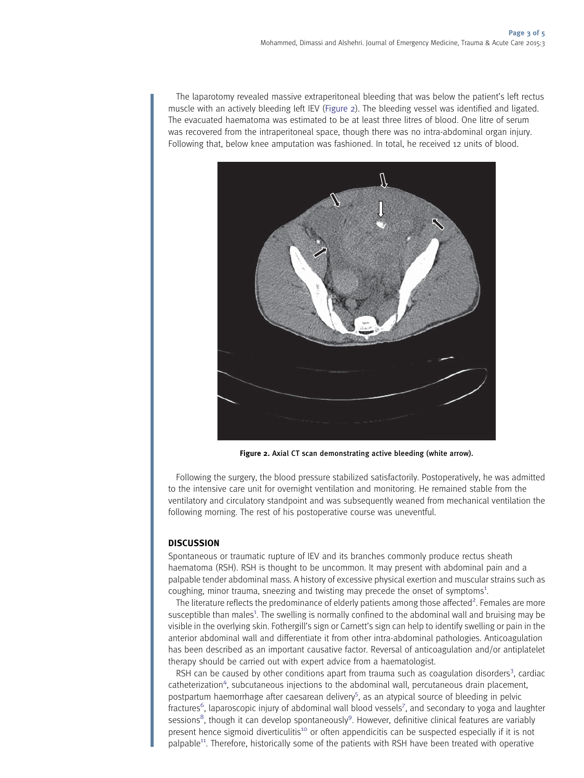The laparotomy revealed massive extraperitoneal bleeding that was below the patient's left rectus muscle with an actively bleeding left IEV (Figure 2). The bleeding vessel was identified and ligated. The evacuated haematoma was estimated to be at least three litres of blood. One litre of serum was recovered from the intraperitoneal space, though there was no intra-abdominal organ injury. Following that, below knee amputation was fashioned. In total, he received 12 units of blood.



Figure 2. Axial CT scan demonstrating active bleeding (white arrow).

Following the surgery, the blood pressure stabilized satisfactorily. Postoperatively, he was admitted to the intensive care unit for overnight ventilation and monitoring. He remained stable from the ventilatory and circulatory standpoint and was subsequently weaned from mechanical ventilation the following morning. The rest of his postoperative course was uneventful.

#### **DISCUSSION**

Spontaneous or traumatic rupture of IEV and its branches commonly produce rectus sheath haematoma (RSH). RSH is thought to be uncommon. It may present with abdominal pain and a palpable tender abdominal mass. A history of excessive physical exertion and muscular strains such as coughing, minor trauma, sneezing and twisting may precede the onset of symptoms $^1$ .

The literature reflects the predominance of elderly patients among those affected<sup>2</sup>. Females are more susceptible than males<sup>[1](#page-3-0)</sup>. The swelling is normally confined to the abdominal wall and bruising may be visible in the overlying skin. Fothergill's sign or Carnett's sign can help to identify swelling or pain in the anterior abdominal wall and differentiate it from other intra-abdominal pathologies. Anticoagulation has been described as an important causative factor. Reversal of anticoagulation and/or antiplatelet therapy should be carried out with expert advice from a haematologist.

RSH can be caused by other conditions apart from trauma such as coagulation disorders<sup>[3](#page-3-0)</sup>, cardiac catheterization<sup>[4](#page-3-0)</sup>, subcutaneous injections to the abdominal wall, percutaneous drain placement, postpartum haemorrhage after caesarean delivery<sup>[5](#page-4-0)</sup>, as an atypical source of bleeding in pelvic fractures<sup>[6](#page-4-0)</sup>, laparoscopic injury of abdominal wall blood vessels<sup>[7](#page-4-0)</sup>, and secondary to yoga and laughter sessions<sup>8</sup>, though it can develop spontaneously<sup>[9](#page-4-0)</sup>. However, definitive clinical features are variably present hence sigmoid diverticulitis<sup>[10](#page-4-0)</sup> or often appendicitis can be suspected especially if it is not palpable<sup>11</sup>. Therefore, historically some of the patients with RSH have been treated with operative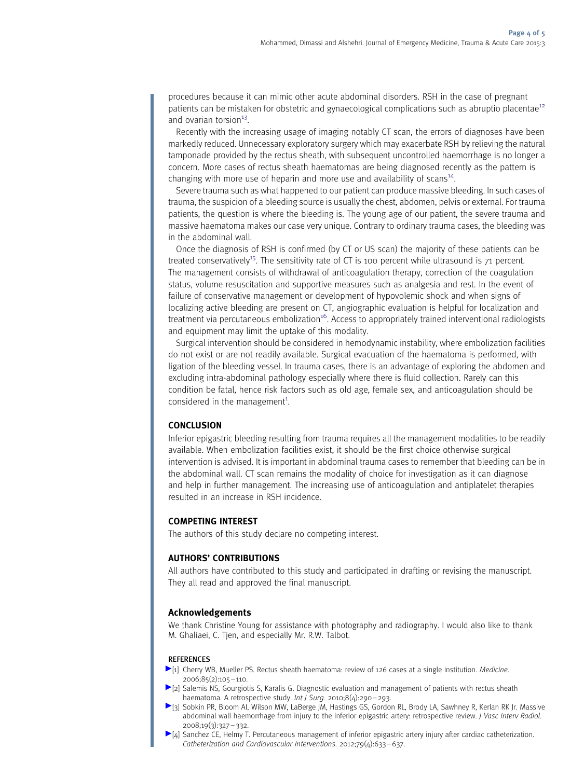<span id="page-3-0"></span>procedures because it can mimic other acute abdominal disorders. RSH in the case of pregnant patients can be mistaken for obstetric and gynaecological complications such as abruptio placentae<sup>[12](#page-4-0)</sup> and ovarian torsion $^{13}$  $^{13}$  $^{13}$ .

Recently with the increasing usage of imaging notably CT scan, the errors of diagnoses have been markedly reduced. Unnecessary exploratory surgery which may exacerbate RSH by relieving the natural tamponade provided by the rectus sheath, with subsequent uncontrolled haemorrhage is no longer a concern. More cases of rectus sheath haematomas are being diagnosed recently as the pattern is changing with more use of heparin and more use and availability of scans<sup>14</sup>.

Severe trauma such as what happened to our patient can produce massive bleeding. In such cases of trauma, the suspicion of a bleeding source is usually the chest, abdomen, pelvis or external. For trauma patients, the question is where the bleeding is. The young age of our patient, the severe trauma and massive haematoma makes our case very unique. Contrary to ordinary trauma cases, the bleeding was in the abdominal wall.

Once the diagnosis of RSH is confirmed (by CT or US scan) the majority of these patients can be treated conservatively<sup>15</sup>. The sensitivity rate of CT is 100 percent while ultrasound is 71 percent. The management consists of withdrawal of anticoagulation therapy, correction of the coagulation status, volume resuscitation and supportive measures such as analgesia and rest. In the event of failure of conservative management or development of hypovolemic shock and when signs of localizing active bleeding are present on CT, angiographic evaluation is helpful for localization and treatment via percutaneous embolization<sup>[16](#page-4-0)</sup>. Access to appropriately trained interventional radiologists and equipment may limit the uptake of this modality.

Surgical intervention should be considered in hemodynamic instability, where embolization facilities do not exist or are not readily available. Surgical evacuation of the haematoma is performed, with ligation of the bleeding vessel. In trauma cases, there is an advantage of exploring the abdomen and excluding intra-abdominal pathology especially where there is fluid collection. Rarely can this condition be fatal, hence risk factors such as old age, female sex, and anticoagulation should be considered in the management<sup>1</sup>.

#### **CONCLUSION**

Inferior epigastric bleeding resulting from trauma requires all the management modalities to be readily available. When embolization facilities exist, it should be the first choice otherwise surgical intervention is advised. It is important in abdominal trauma cases to remember that bleeding can be in the abdominal wall. CT scan remains the modality of choice for investigation as it can diagnose and help in further management. The increasing use of anticoagulation and antiplatelet therapies resulted in an increase in RSH incidence.

#### COMPETING INTEREST

The authors of this study declare no competing interest.

#### AUTHORS' CONTRIBUTIONS

All authors have contributed to this study and participated in drafting or revising the manuscript. They all read and approved the final manuscript.

#### Acknowledgements

We thank Christine Young for assistance with photography and radiography. I would also like to thank M. Ghaliaei, C. Tjen, and especially Mr. R.W. Talbot.

#### REFERENCES

- [\[](http://www.qscience.com/action/showLinks?pmid=16609349&crossref=10.1097%2F01.md.0000216818.13067.5a)1] Cherry WB, Mueller PS. Rectus sheath haematoma: review of 126 cases at a single institution. Medicine. 2006;85(2):105–110.
- [\[](http://www.qscience.com/action/showLinks?pmid=20227535&crossref=10.1016%2Fj.ijsu.2010.02.011)2] Salemis NS, Gourgiotis S, Karalis G. Diagnostic evaluation and management of patients with rectus sheath haematoma. A retrospective study. Int J Surg. 2010;8(4):290-293.
- [\[](http://www.qscience.com/action/showLinks?pmid=18295690&crossref=10.1016%2Fj.jvir.2007.11.004)3] Sobkin PR, Bloom AI, Wilson MW, LaBerge JM, Hastings GS, Gordon RL, Brody LA, Sawhney R, Kerlan RK Jr. Massive abdominal wall haemorrhage from injury to the inferior epigastric artery: retrospective review. J Vasc Interv Radiol. 2008;19(3):327–332.
- $\blacktriangleright$  [\[](http://www.qscience.com/action/showLinks?pmid=21538784&crossref=10.1002%2Fccd.23097)4] Sanchez CE, Helmy T. Percutaneous management of inferior epigastric artery injury after cardiac catheterization. Catheterization and Cardiovascular Interventions. 2012;79(4):633–637.